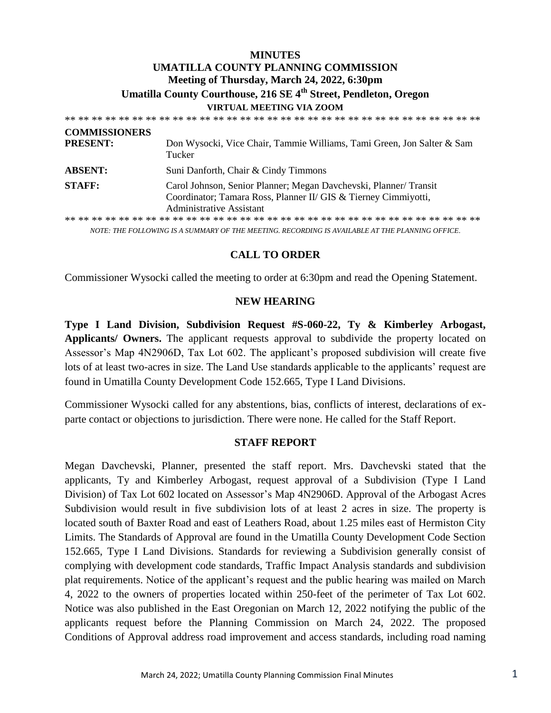# **MINUTES UMATILLA COUNTY PLANNING COMMISSION Meeting of Thursday, March 24, 2022, 6:30pm Umatilla County Courthouse, 216 SE 4th Street, Pendleton, Oregon VIRTUAL MEETING VIA ZOOM**

\*\* \*\* \*\* \*\* \*\* \*\* \*\* \*\* \*\* \*\* \*\* \*\* \*\* \*\* \*\* \*\* \*\* \*\* \*\* \*\* \*\* \*\* \*\* \*\* \*\* \*\* \*\* \*\* \*\* \*\* \*\* **COMMISSIONERS PRESENT:** Don Wysocki, Vice Chair, Tammie Williams, Tami Green, Jon Salter & Sam Tucker **ABSENT:** Suni Danforth, Chair & Cindy Timmons **STAFF:** Carol Johnson, Senior Planner; Megan Davchevski, Planner/ Transit Coordinator; Tamara Ross, Planner II/ GIS & Tierney Cimmiyotti, Administrative Assistant \*\* \*\* \*\* \*\* \*\* \*\* \*\* \*\* \*\* \*\* \*\* \*\* \*\* \*\* \*\* \*\* \*\* \*\* \*\* \*\* \*\* \*\* \*\* \*\* \*\* \*\* \*\* \*\* \*\* \*\* \*\*

*NOTE: THE FOLLOWING IS A SUMMARY OF THE MEETING. RECORDING IS AVAILABLE AT THE PLANNING OFFICE.*

## **CALL TO ORDER**

Commissioner Wysocki called the meeting to order at 6:30pm and read the Opening Statement.

#### **NEW HEARING**

**Type I Land Division, Subdivision Request #S-060-22, Ty & Kimberley Arbogast, Applicants/ Owners.** The applicant requests approval to subdivide the property located on Assessor's Map 4N2906D, Tax Lot 602. The applicant's proposed subdivision will create five lots of at least two-acres in size. The Land Use standards applicable to the applicants' request are found in Umatilla County Development Code 152.665, Type I Land Divisions.

Commissioner Wysocki called for any abstentions, bias, conflicts of interest, declarations of exparte contact or objections to jurisdiction. There were none. He called for the Staff Report.

#### **STAFF REPORT**

Megan Davchevski, Planner, presented the staff report. Mrs. Davchevski stated that the applicants, Ty and Kimberley Arbogast, request approval of a Subdivision (Type I Land Division) of Tax Lot 602 located on Assessor's Map 4N2906D. Approval of the Arbogast Acres Subdivision would result in five subdivision lots of at least 2 acres in size. The property is located south of Baxter Road and east of Leathers Road, about 1.25 miles east of Hermiston City Limits. The Standards of Approval are found in the Umatilla County Development Code Section 152.665, Type I Land Divisions. Standards for reviewing a Subdivision generally consist of complying with development code standards, Traffic Impact Analysis standards and subdivision plat requirements. Notice of the applicant's request and the public hearing was mailed on March 4, 2022 to the owners of properties located within 250-feet of the perimeter of Tax Lot 602. Notice was also published in the East Oregonian on March 12, 2022 notifying the public of the applicants request before the Planning Commission on March 24, 2022. The proposed Conditions of Approval address road improvement and access standards, including road naming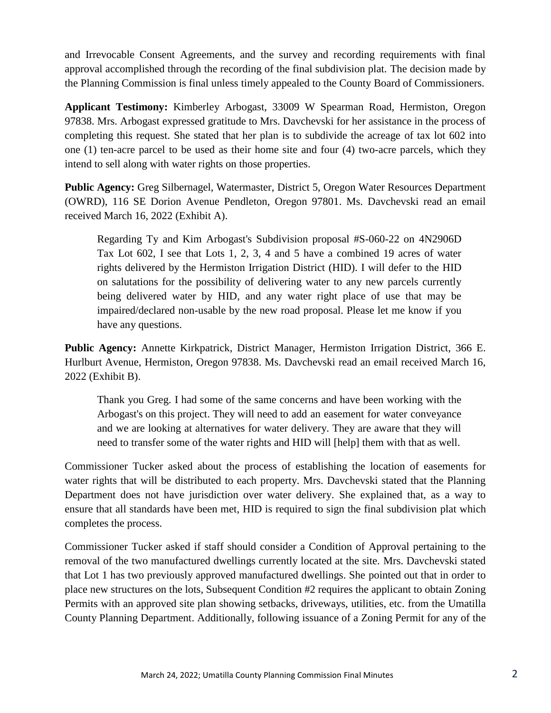and Irrevocable Consent Agreements, and the survey and recording requirements with final approval accomplished through the recording of the final subdivision plat. The decision made by the Planning Commission is final unless timely appealed to the County Board of Commissioners.

**Applicant Testimony:** Kimberley Arbogast, 33009 W Spearman Road, Hermiston, Oregon 97838. Mrs. Arbogast expressed gratitude to Mrs. Davchevski for her assistance in the process of completing this request. She stated that her plan is to subdivide the acreage of tax lot 602 into one (1) ten-acre parcel to be used as their home site and four (4) two-acre parcels, which they intend to sell along with water rights on those properties.

**Public Agency:** Greg Silbernagel, Watermaster, District 5, Oregon Water Resources Department (OWRD), 116 SE Dorion Avenue Pendleton, Oregon 97801. Ms. Davchevski read an email received March 16, 2022 (Exhibit A).

Regarding Ty and Kim Arbogast's Subdivision proposal #S-060-22 on 4N2906D Tax Lot 602, I see that Lots 1, 2, 3, 4 and 5 have a combined 19 acres of water rights delivered by the Hermiston Irrigation District (HID). I will defer to the HID on salutations for the possibility of delivering water to any new parcels currently being delivered water by HID, and any water right place of use that may be impaired/declared non-usable by the new road proposal. Please let me know if you have any questions.

**Public Agency:** Annette Kirkpatrick, District Manager, Hermiston Irrigation District, 366 E. Hurlburt Avenue, Hermiston, Oregon 97838. Ms. Davchevski read an email received March 16, 2022 (Exhibit B).

Thank you Greg. I had some of the same concerns and have been working with the Arbogast's on this project. They will need to add an easement for water conveyance and we are looking at alternatives for water delivery. They are aware that they will need to transfer some of the water rights and HID will [help] them with that as well.

Commissioner Tucker asked about the process of establishing the location of easements for water rights that will be distributed to each property. Mrs. Davchevski stated that the Planning Department does not have jurisdiction over water delivery. She explained that, as a way to ensure that all standards have been met, HID is required to sign the final subdivision plat which completes the process.

Commissioner Tucker asked if staff should consider a Condition of Approval pertaining to the removal of the two manufactured dwellings currently located at the site. Mrs. Davchevski stated that Lot 1 has two previously approved manufactured dwellings. She pointed out that in order to place new structures on the lots, Subsequent Condition #2 requires the applicant to obtain Zoning Permits with an approved site plan showing setbacks, driveways, utilities, etc. from the Umatilla County Planning Department. Additionally, following issuance of a Zoning Permit for any of the